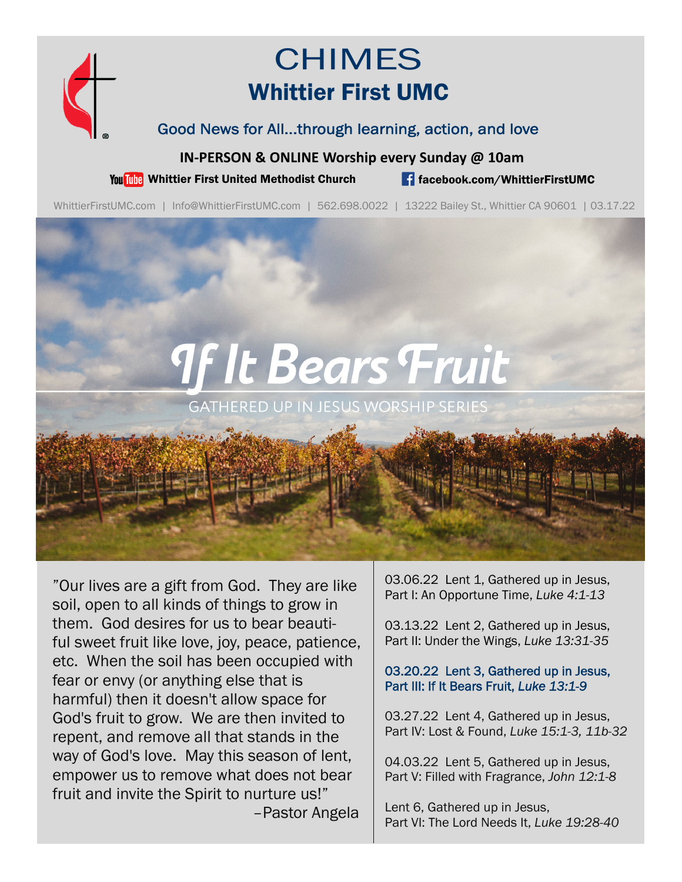

## CHIMES Whittier First UMC

Good News for All...through learning, action, and love

**IN‐PERSON & ONLINE Worship every Sunday @ 10am**

You This Whittier First United Methodist Church **for the facebook.com/WhittierFirstUMC** 

WhittierFirstUMC.com | Info@WhittierFirstUMC.com | 562.698.0022 | 13222 Bailey St., Whittier CA 90601 | 03.17.22

# **9f It Bears Fruit**

**GATHERED UP IN JESUS WORSHIP SERIES** 

"Our lives are a gift from God. They are like soil, open to all kinds of things to grow in them. God desires for us to bear beautiful sweet fruit like love, joy, peace, patience, etc. When the soil has been occupied with fear or envy (or anything else that is harmful) then it doesn't allow space for God's fruit to grow. We are then invited to repent, and remove all that stands in the way of God's love. May this season of lent, empower us to remove what does not bear fruit and invite the Spirit to nurture us!" –Pastor Angela

03.06.22 Lent 1, Gathered up in Jesus, Part I: An Opportune Time, *Luke 4:1-13*

03.13.22 Lent 2, Gathered up in Jesus, Part II: Under the Wings, *Luke 13:31-35*

#### 03.20.22 Lent 3, Gathered up in Jesus, Part III: If It Bears Fruit, *Luke 13:1-9*

03.27.22 Lent 4, Gathered up in Jesus, Part IV: Lost & Found, *Luke 15:1-3, 11b-32*

04.03.22 Lent 5, Gathered up in Jesus, Part V: Filled with Fragrance, *John 12:1-8* 

Lent 6, Gathered up in Jesus, Part VI: The Lord Needs It, *Luke 19:28-40*